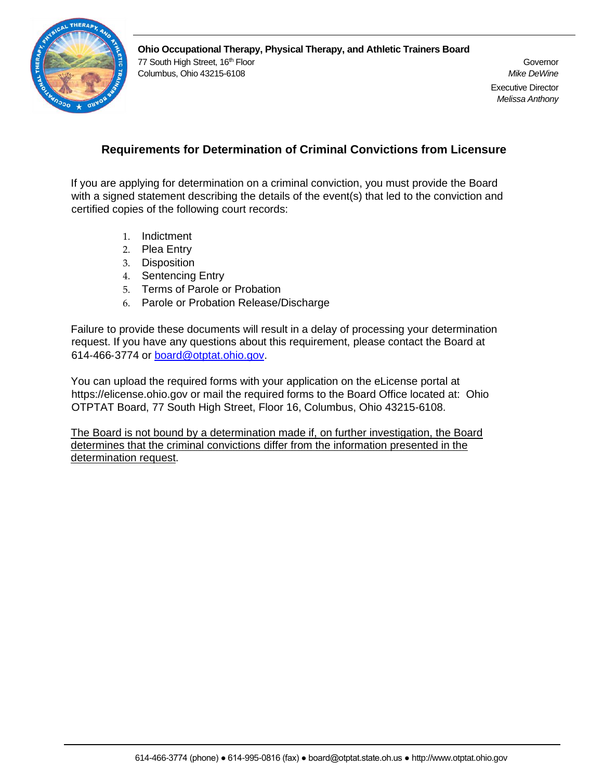

## **Requirements for Determination of Criminal Convictions from Licensure**

If you are applying for determination on a criminal conviction, you must provide the Board with a signed statement describing the details of the event(s) that led to the conviction and certified copies of the following court records:

- 1. Indictment
- 2. Plea Entry
- 3. Disposition
- 4. Sentencing Entry
- 5. Terms of Parole or Probation
- 6. Parole or Probation Release/Discharge

Failure to provide these documents will result in a delay of processing your determination request. If you have any questions about this requirement, please contact the Board at 614‐466‐3774 or board@otptat.ohio.gov.

You can upload the required forms with your application on the eLicense portal at https://elicense.ohio.gov or mail the required forms to the Board Office located at: Ohio OTPTAT Board, 77 South High Street, Floor 16, Columbus, Ohio 43215-6108.

The Board is not bound by a determination made if, on further investigation, the Board determines that the criminal convictions differ from the information presented in the determination request.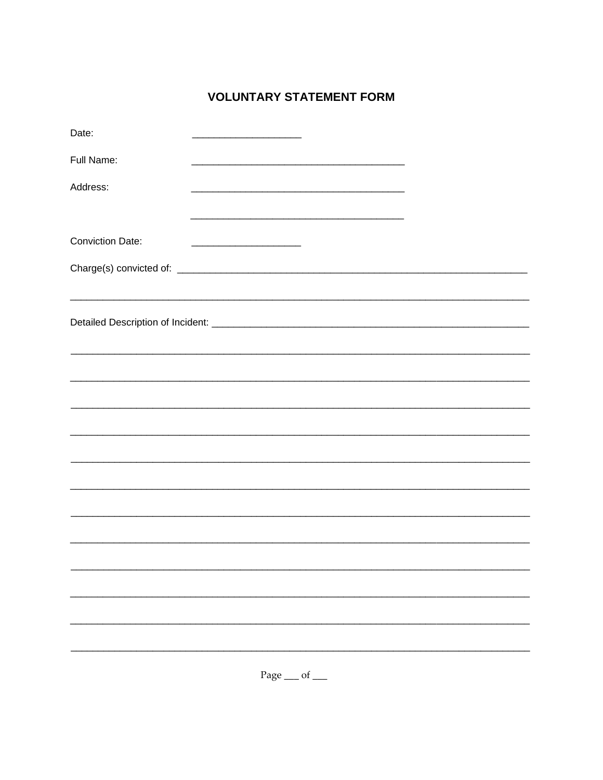## **VOLUNTARY STATEMENT FORM**

| Date:                   |  |                                                                                                                                                                                                                               |  |  |  |  |
|-------------------------|--|-------------------------------------------------------------------------------------------------------------------------------------------------------------------------------------------------------------------------------|--|--|--|--|
| Full Name:              |  |                                                                                                                                                                                                                               |  |  |  |  |
| Address:                |  |                                                                                                                                                                                                                               |  |  |  |  |
|                         |  | the control of the control of the control of the control of the control of the control of the control of the control of the control of the control of the control of the control of the control of the control of the control |  |  |  |  |
| <b>Conviction Date:</b> |  |                                                                                                                                                                                                                               |  |  |  |  |
|                         |  |                                                                                                                                                                                                                               |  |  |  |  |
|                         |  |                                                                                                                                                                                                                               |  |  |  |  |
|                         |  |                                                                                                                                                                                                                               |  |  |  |  |
|                         |  |                                                                                                                                                                                                                               |  |  |  |  |
|                         |  |                                                                                                                                                                                                                               |  |  |  |  |
|                         |  |                                                                                                                                                                                                                               |  |  |  |  |
|                         |  |                                                                                                                                                                                                                               |  |  |  |  |
|                         |  |                                                                                                                                                                                                                               |  |  |  |  |
|                         |  |                                                                                                                                                                                                                               |  |  |  |  |
|                         |  |                                                                                                                                                                                                                               |  |  |  |  |
|                         |  |                                                                                                                                                                                                                               |  |  |  |  |
|                         |  |                                                                                                                                                                                                                               |  |  |  |  |
|                         |  |                                                                                                                                                                                                                               |  |  |  |  |
|                         |  |                                                                                                                                                                                                                               |  |  |  |  |
|                         |  |                                                                                                                                                                                                                               |  |  |  |  |
|                         |  |                                                                                                                                                                                                                               |  |  |  |  |
|                         |  | Page __ of __                                                                                                                                                                                                                 |  |  |  |  |